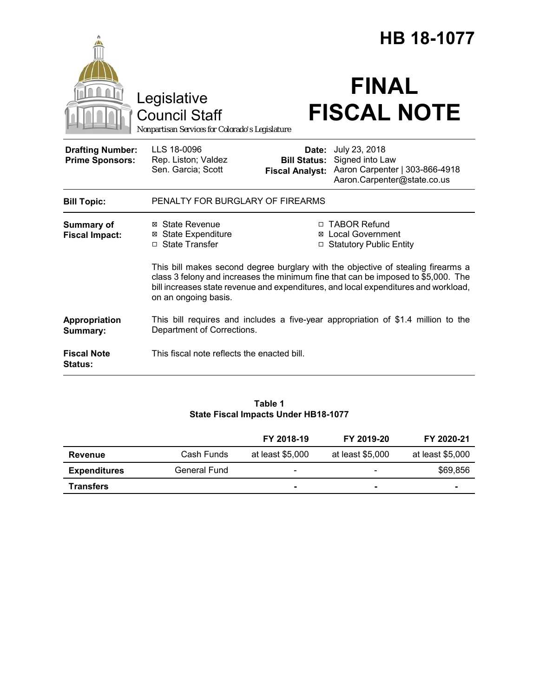|                                                   |                                                                                                                                                                                                                                                                                      | <b>HB 18-1077</b>                                      |                                                                                                   |  |
|---------------------------------------------------|--------------------------------------------------------------------------------------------------------------------------------------------------------------------------------------------------------------------------------------------------------------------------------------|--------------------------------------------------------|---------------------------------------------------------------------------------------------------|--|
|                                                   | Legislative<br><b>Council Staff</b><br>Nonpartisan Services for Colorado's Legislature                                                                                                                                                                                               |                                                        | <b>FINAL</b><br><b>FISCAL NOTE</b>                                                                |  |
| <b>Drafting Number:</b><br><b>Prime Sponsors:</b> | LLS 18-0096<br>Rep. Liston; Valdez<br>Sen. Garcia; Scott                                                                                                                                                                                                                             | Date:<br><b>Bill Status:</b><br><b>Fiscal Analyst:</b> | July 23, 2018<br>Signed into Law<br>Aaron Carpenter   303-866-4918<br>Aaron.Carpenter@state.co.us |  |
| <b>Bill Topic:</b>                                | PENALTY FOR BURGLARY OF FIREARMS                                                                                                                                                                                                                                                     |                                                        |                                                                                                   |  |
| <b>Summary of</b><br><b>Fiscal Impact:</b>        | ⊠ State Revenue<br><b>⊠</b> State Expenditure<br>□ State Transfer                                                                                                                                                                                                                    |                                                        | □ TABOR Refund<br><b>⊠</b> Local Government<br>□ Statutory Public Entity                          |  |
|                                                   | This bill makes second degree burglary with the objective of stealing firearms a<br>class 3 felony and increases the minimum fine that can be imposed to \$5,000. The<br>bill increases state revenue and expenditures, and local expenditures and workload,<br>on an ongoing basis. |                                                        |                                                                                                   |  |
| Appropriation<br>Summary:                         | Department of Corrections.                                                                                                                                                                                                                                                           |                                                        | This bill requires and includes a five-year appropriation of \$1.4 million to the                 |  |
| <b>Fiscal Note</b><br><b>Status:</b>              | This fiscal note reflects the enacted bill.                                                                                                                                                                                                                                          |                                                        |                                                                                                   |  |

## **Table 1 State Fiscal Impacts Under HB18-1077**

|                     |              | FY 2018-19               | FY 2019-20       | FY 2020-21               |
|---------------------|--------------|--------------------------|------------------|--------------------------|
| Revenue             | Cash Funds   | at least \$5,000         | at least \$5,000 | at least \$5,000         |
| <b>Expenditures</b> | General Fund | $\overline{\phantom{a}}$ | $\qquad \qquad$  | \$69,856                 |
| Transfers           |              |                          |                  | $\overline{\phantom{a}}$ |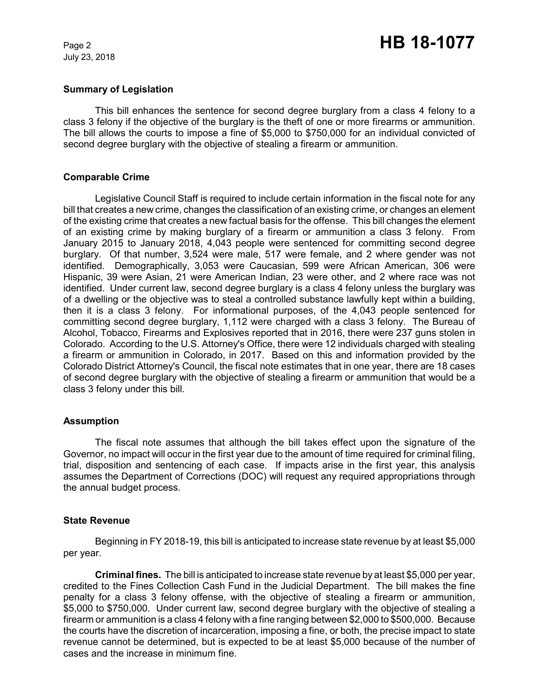July 23, 2018

## **Summary of Legislation**

This bill enhances the sentence for second degree burglary from a class 4 felony to a class 3 felony if the objective of the burglary is the theft of one or more firearms or ammunition. The bill allows the courts to impose a fine of \$5,000 to \$750,000 for an individual convicted of second degree burglary with the objective of stealing a firearm or ammunition.

## **Comparable Crime**

Legislative Council Staff is required to include certain information in the fiscal note for any bill that creates a new crime, changes the classification of an existing crime, or changes an element of the existing crime that creates a new factual basis for the offense. This bill changes the element of an existing crime by making burglary of a firearm or ammunition a class 3 felony. From January 2015 to January 2018, 4,043 people were sentenced for committing second degree burglary. Of that number, 3,524 were male, 517 were female, and 2 where gender was not identified. Demographically, 3,053 were Caucasian, 599 were African American, 306 were Hispanic, 39 were Asian, 21 were American Indian, 23 were other, and 2 where race was not identified. Under current law, second degree burglary is a class 4 felony unless the burglary was of a dwelling or the objective was to steal a controlled substance lawfully kept within a building, then it is a class 3 felony. For informational purposes, of the 4,043 people sentenced for committing second degree burglary, 1,112 were charged with a class 3 felony. The Bureau of Alcohol, Tobacco, Firearms and Explosives reported that in 2016, there were 237 guns stolen in Colorado. According to the U.S. Attorney's Office, there were 12 individuals charged with stealing a firearm or ammunition in Colorado, in 2017. Based on this and information provided by the Colorado District Attorney's Council, the fiscal note estimates that in one year, there are 18 cases of second degree burglary with the objective of stealing a firearm or ammunition that would be a class 3 felony under this bill.

# **Assumption**

The fiscal note assumes that although the bill takes effect upon the signature of the Governor, no impact will occur in the first year due to the amount of time required for criminal filing, trial, disposition and sentencing of each case. If impacts arise in the first year, this analysis assumes the Department of Corrections (DOC) will request any required appropriations through the annual budget process.

## **State Revenue**

Beginning in FY 2018-19, this bill is anticipated to increase state revenue by at least \$5,000 per year.

**Criminal fines.** The bill is anticipated to increase state revenue by at least \$5,000 per year, credited to the Fines Collection Cash Fund in the Judicial Department. The bill makes the fine penalty for a class 3 felony offense, with the objective of stealing a firearm or ammunition, \$5,000 to \$750,000. Under current law, second degree burglary with the objective of stealing a firearm or ammunition is a class 4 felony with a fine ranging between \$2,000 to \$500,000. Because the courts have the discretion of incarceration, imposing a fine, or both, the precise impact to state revenue cannot be determined, but is expected to be at least \$5,000 because of the number of cases and the increase in minimum fine.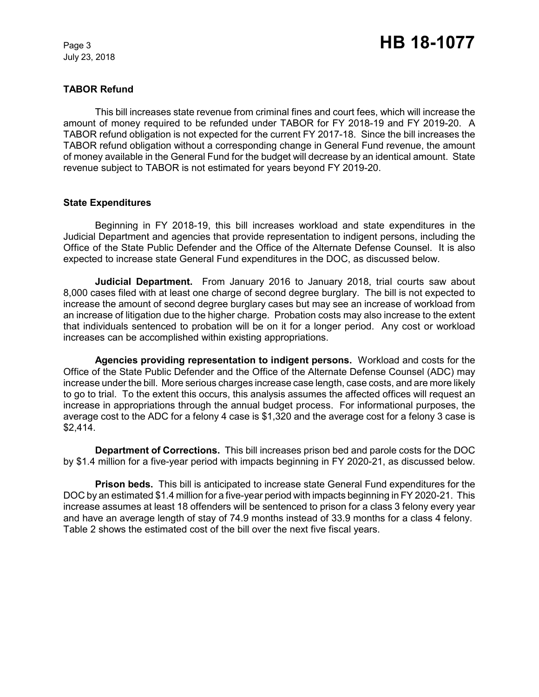July 23, 2018

# **TABOR Refund**

This bill increases state revenue from criminal fines and court fees, which will increase the amount of money required to be refunded under TABOR for FY 2018-19 and FY 2019-20. A TABOR refund obligation is not expected for the current FY 2017-18. Since the bill increases the TABOR refund obligation without a corresponding change in General Fund revenue, the amount of money available in the General Fund for the budget will decrease by an identical amount. State revenue subject to TABOR is not estimated for years beyond FY 2019-20.

## **State Expenditures**

Beginning in FY 2018-19, this bill increases workload and state expenditures in the Judicial Department and agencies that provide representation to indigent persons, including the Office of the State Public Defender and the Office of the Alternate Defense Counsel. It is also expected to increase state General Fund expenditures in the DOC, as discussed below.

**Judicial Department.** From January 2016 to January 2018, trial courts saw about 8,000 cases filed with at least one charge of second degree burglary. The bill is not expected to increase the amount of second degree burglary cases but may see an increase of workload from an increase of litigation due to the higher charge. Probation costs may also increase to the extent that individuals sentenced to probation will be on it for a longer period. Any cost or workload increases can be accomplished within existing appropriations.

**Agencies providing representation to indigent persons.** Workload and costs for the Office of the State Public Defender and the Office of the Alternate Defense Counsel (ADC) may increase under the bill. More serious charges increase case length, case costs, and are more likely to go to trial. To the extent this occurs, this analysis assumes the affected offices will request an increase in appropriations through the annual budget process. For informational purposes, the average cost to the ADC for a felony 4 case is \$1,320 and the average cost for a felony 3 case is \$2,414.

**Department of Corrections.** This bill increases prison bed and parole costs for the DOC by \$1.4 million for a five-year period with impacts beginning in FY 2020-21, as discussed below.

**Prison beds.**This bill is anticipated to increase state General Fund expenditures for the DOC by an estimated \$1.4 million for a five-year period with impacts beginning in FY 2020-21. This increase assumes at least 18 offenders will be sentenced to prison for a class 3 felony every year and have an average length of stay of 74.9 months instead of 33.9 months for a class 4 felony. Table 2 shows the estimated cost of the bill over the next five fiscal years.